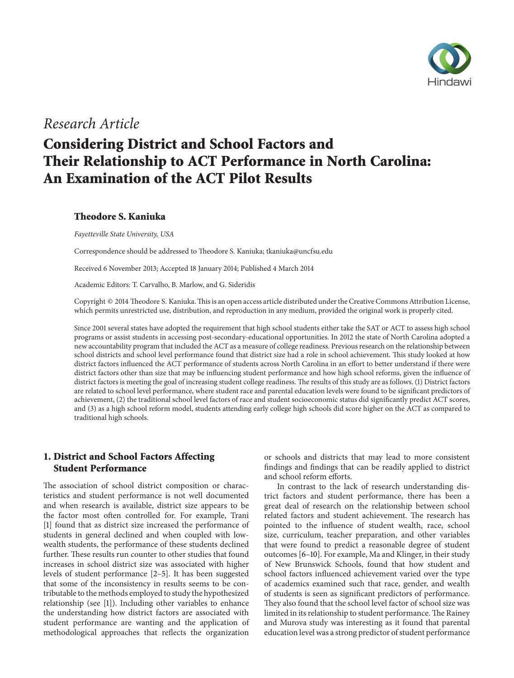

# *Research Article*

# **Considering District and School Factors and Their Relationship to ACT Performance in North Carolina: An Examination of the ACT Pilot Results**

# **Theodore S. Kaniuka**

*Fayetteville State University, USA*

Correspondence should be addressed to Theodore S. Kaniuka; tkaniuka@uncfsu.edu

Received 6 November 2013; Accepted 18 January 2014; Published 4 March 2014

Academic Editors: T. Carvalho, B. Marlow, and G. Sideridis

Copyright © 2014 Theodore S. Kaniuka.This is an open access article distributed under the Creative Commons Attribution License, which permits unrestricted use, distribution, and reproduction in any medium, provided the original work is properly cited.

Since 2001 several states have adopted the requirement that high school students either take the SAT or ACT to assess high school programs or assist students in accessing post-secondary-educational opportunities. In 2012 the state of North Carolina adopted a new accountability program that included the ACT as a measure of college readiness. Previous research on the relationship between school districts and school level performance found that district size had a role in school achievement. This study looked at how district factors influenced the ACT performance of students across North Carolina in an effort to better understand if there were district factors other than size that may be influencing student performance and how high school reforms, given the influence of district factors is meeting the goal of increasing student college readiness. The results of this study are as follows. (1) District factors are related to school level performance, where student race and parental education levels were found to be significant predictors of achievement, (2) the traditional school level factors of race and student socioeconomic status did significantly predict ACT scores, and (3) as a high school reform model, students attending early college high schools did score higher on the ACT as compared to traditional high schools.

# **1. District and School Factors Affecting Student Performance**

The association of school district composition or characteristics and student performance is not well documented and when research is available, district size appears to be the factor most often controlled for. For example, Trani [1] found that as district size increased the performance of students in general declined and when coupled with lowwealth students, the performance of these students declined further. These results run counter to other studies that found increases in school district size was associated with higher levels of student performance [2–5]. It has been suggested that some of the inconsistency in results seems to be contributable to the methods employed to study the hypothesized relationship (see [1]). Including other variables to enhance the understanding how district factors are associated with student performance are wanting and the application of methodological approaches that reflects the organization

or schools and districts that may lead to more consistent findings and findings that can be readily applied to district and school reform efforts.

In contrast to the lack of research understanding district factors and student performance, there has been a great deal of research on the relationship between school related factors and student achievement. The research has pointed to the influence of student wealth, race, school size, curriculum, teacher preparation, and other variables that were found to predict a reasonable degree of student outcomes [6–10]. For example, Ma and Klinger, in their study of New Brunswick Schools, found that how student and school factors influenced achievement varied over the type of academics examined such that race, gender, and wealth of students is seen as significant predictors of performance. They also found that the school level factor of school size was limited in its relationship to student performance. The Rainey and Murova study was interesting as it found that parental education level was a strong predictor of student performance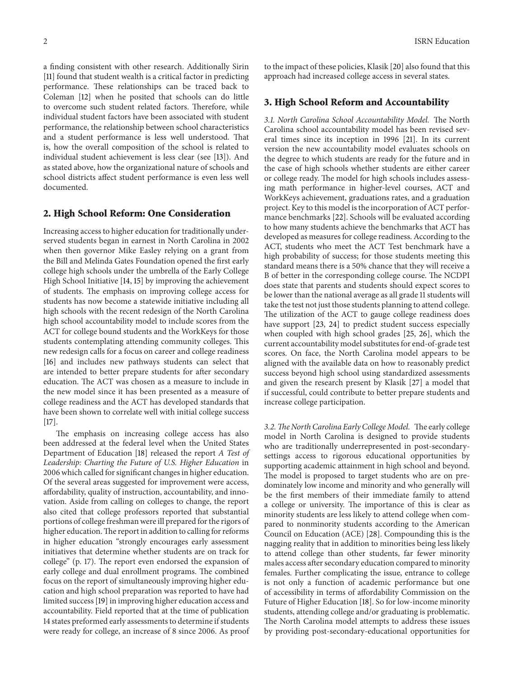a finding consistent with other research. Additionally Sirin [11] found that student wealth is a critical factor in predicting performance. These relationships can be traced back to Coleman [12] when he posited that schools can do little to overcome such student related factors. Therefore, while individual student factors have been associated with student performance, the relationship between school characteristics and a student performance is less well understood. That is, how the overall composition of the school is related to individual student achievement is less clear (see [13]). And as stated above, how the organizational nature of schools and school districts affect student performance is even less well documented.

#### **2. High School Reform: One Consideration**

Increasing access to higher education for traditionally underserved students began in earnest in North Carolina in 2002 when then governor Mike Easley relying on a grant from the Bill and Melinda Gates Foundation opened the first early college high schools under the umbrella of the Early College High School Initiative [14, 15] by improving the achievement of students. The emphasis on improving college access for students has now become a statewide initiative including all high schools with the recent redesign of the North Carolina high school accountability model to include scores from the ACT for college bound students and the WorkKeys for those students contemplating attending community colleges. This new redesign calls for a focus on career and college readiness [16] and includes new pathways students can select that are intended to better prepare students for after secondary education. The ACT was chosen as a measure to include in the new model since it has been presented as a measure of college readiness and the ACT has developed standards that have been shown to correlate well with initial college success [17].

The emphasis on increasing college access has also been addressed at the federal level when the United States Department of Education [18] released the report *A Test of Leadership: Charting the Future of U.S. Higher Education* in 2006 which called for significant changes in higher education. Of the several areas suggested for improvement were access, affordability, quality of instruction, accountability, and innovation. Aside from calling on colleges to change, the report also cited that college professors reported that substantial portions of college freshman were ill prepared for the rigors of higher education.The report in addition to calling for reforms in higher education "strongly encourages early assessment initiatives that determine whether students are on track for college" (p. 17). The report even endorsed the expansion of early college and dual enrollment programs. The combined focus on the report of simultaneously improving higher education and high school preparation was reported to have had limited success [19] in improving higher education access and accountability. Field reported that at the time of publication 14 states preformed early assessments to determine if students were ready for college, an increase of 8 since 2006. As proof

to the impact of these policies, Klasik [20] also found that this approach had increased college access in several states.

#### **3. High School Reform and Accountability**

*3.1. North Carolina School Accountability Model.* The North Carolina school accountability model has been revised several times since its inception in 1996 [21]. In its current version the new accountability model evaluates schools on the degree to which students are ready for the future and in the case of high schools whether students are either career or college ready. The model for high schools includes assessing math performance in higher-level courses, ACT and WorkKeys achievement, graduations rates, and a graduation project. Key to this model is the incorporation of ACT performance benchmarks [22]. Schools will be evaluated according to how many students achieve the benchmarks that ACT has developed as measures for college readiness. According to the ACT, students who meet the ACT Test benchmark have a high probability of success; for those students meeting this standard means there is a 50% chance that they will receive a B of better in the corresponding college course. The NCDPI does state that parents and students should expect scores to be lower than the national average as all grade 11 students will take the test not just those students planning to attend college. The utilization of the ACT to gauge college readiness does have support [23, 24] to predict student success especially when coupled with high school grades [25, 26], which the current accountability model substitutes for end-of-grade test scores. On face, the North Carolina model appears to be aligned with the available data on how to reasonably predict success beyond high school using standardized assessments and given the research present by Klasik [27] a model that if successful, could contribute to better prepare students and increase college participation.

*3.2.The North Carolina Early College Model.* The early college model in North Carolina is designed to provide students who are traditionally underrepresented in post-secondarysettings access to rigorous educational opportunities by supporting academic attainment in high school and beyond. The model is proposed to target students who are on predominately low income and minority and who generally will be the first members of their immediate family to attend a college or university. The importance of this is clear as minority students are less likely to attend college when compared to nonminority students according to the American Council on Education (ACE) [28]. Compounding this is the nagging reality that in addition to minorities being less likely to attend college than other students, far fewer minority males access after secondary education compared to minority females. Further complicating the issue, entrance to college is not only a function of academic performance but one of accessibility in terms of affordability Commission on the Future of Higher Education [18]. So for low-income minority students, attending college and/or graduating is problematic. The North Carolina model attempts to address these issues by providing post-secondary-educational opportunities for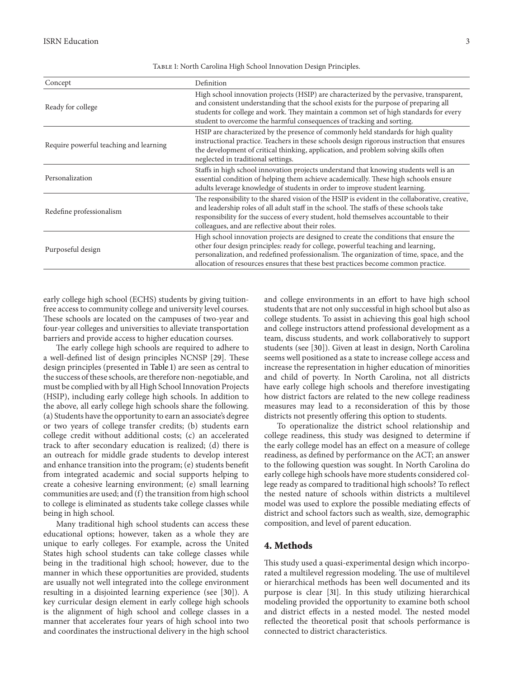| Concept                                | Definition                                                                                                                                                                                                                                                                                                                                                 |
|----------------------------------------|------------------------------------------------------------------------------------------------------------------------------------------------------------------------------------------------------------------------------------------------------------------------------------------------------------------------------------------------------------|
| Ready for college                      | High school innovation projects (HSIP) are characterized by the pervasive, transparent,<br>and consistent understanding that the school exists for the purpose of preparing all<br>students for college and work. They maintain a common set of high standards for every<br>student to overcome the harmful consequences of tracking and sorting.          |
| Require powerful teaching and learning | HSIP are characterized by the presence of commonly held standards for high quality<br>instructional practice. Teachers in these schools design rigorous instruction that ensures<br>the development of critical thinking, application, and problem solving skills often<br>neglected in traditional settings.                                              |
| Personalization                        | Staffs in high school innovation projects understand that knowing students well is an<br>essential condition of helping them achieve academically. These high schools ensure<br>adults leverage knowledge of students in order to improve student learning.                                                                                                |
| Redefine professionalism               | The responsibility to the shared vision of the HSIP is evident in the collaborative, creative,<br>and leadership roles of all adult staff in the school. The staffs of these schools take<br>responsibility for the success of every student, hold themselves accountable to their<br>colleagues, and are reflective about their roles.                    |
| Purposeful design                      | High school innovation projects are designed to create the conditions that ensure the<br>other four design principles: ready for college, powerful teaching and learning,<br>personalization, and redefined professionalism. The organization of time, space, and the<br>allocation of resources ensures that these best practices become common practice. |

Table 1: North Carolina High School Innovation Design Principles.

early college high school (ECHS) students by giving tuitionfree access to community college and university level courses. These schools are located on the campuses of two-year and four-year colleges and universities to alleviate transportation barriers and provide access to higher education courses.

The early college high schools are required to adhere to a well-defined list of design principles NCNSP [29]. These design principles (presented in Table 1) are seen as central to the success of these schools, are therefore non-negotiable, and must be complied with by all High School Innovation Projects (HSIP), including early college high schools. In addition to the above, all early college high schools share the following. (a) Students have the opportunity to earn an associate's degree or two years of college transfer credits; (b) students earn college credit without additional costs; (c) an accelerated track to after secondary education is realized; (d) there is an outreach for middle grade students to develop interest and enhance transition into the program; (e) students benefit from integrated academic and social supports helping to create a cohesive learning environment; (e) small learning communities are used; and (f) the transition from high school to college is eliminated as students take college classes while being in high school.

Many traditional high school students can access these educational options; however, taken as a whole they are unique to early colleges. For example, across the United States high school students can take college classes while being in the traditional high school; however, due to the manner in which these opportunities are provided, students are usually not well integrated into the college environment resulting in a disjointed learning experience (see [30]). A key curricular design element in early college high schools is the alignment of high school and college classes in a manner that accelerates four years of high school into two and coordinates the instructional delivery in the high school

and college environments in an effort to have high school students that are not only successful in high school but also as college students. To assist in achieving this goal high school and college instructors attend professional development as a team, discuss students, and work collaboratively to support students (see [30]). Given at least in design, North Carolina seems well positioned as a state to increase college access and increase the representation in higher education of minorities and child of poverty. In North Carolina, not all districts have early college high schools and therefore investigating how district factors are related to the new college readiness measures may lead to a reconsideration of this by those districts not presently offering this option to students.

To operationalize the district school relationship and college readiness, this study was designed to determine if the early college model has an effect on a measure of college readiness, as defined by performance on the ACT; an answer to the following question was sought. In North Carolina do early college high schools have more students considered college ready as compared to traditional high schools? To reflect the nested nature of schools within districts a multilevel model was used to explore the possible mediating effects of district and school factors such as wealth, size, demographic composition, and level of parent education.

# **4. Methods**

This study used a quasi-experimental design which incorporated a multilevel regression modeling. The use of multilevel or hierarchical methods has been well documented and its purpose is clear [31]. In this study utilizing hierarchical modeling provided the opportunity to examine both school and district effects in a nested model. The nested model reflected the theoretical posit that schools performance is connected to district characteristics.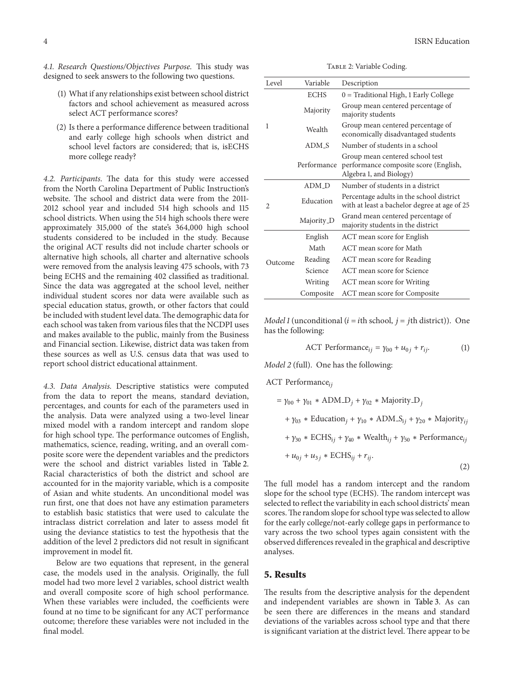*4.1. Research Questions/Objectives Purpose.* This study was designed to seek answers to the following two questions.

- (1) What if any relationships exist between school district factors and school achievement as measured across select ACT performance scores?
- (2) Is there a performance difference between traditional and early college high schools when district and school level factors are considered; that is, isECHS more college ready?

*4.2. Participants.* The data for this study were accessed from the North Carolina Department of Public Instruction's website. The school and district data were from the 2011- 2012 school year and included 514 high schools and 115 school districts. When using the 514 high schools there were approximately 315,000 of the state's 364,000 high school students considered to be included in the study. Because the original ACT results did not include charter schools or alternative high schools, all charter and alternative schools were removed from the analysis leaving 475 schools, with 73 being ECHS and the remaining 402 classified as traditional. Since the data was aggregated at the school level, neither individual student scores nor data were available such as special education status, growth, or other factors that could be included with student level data.The demographic data for each school was taken from various files that the NCDPI uses and makes available to the public, mainly from the Business and Financial section. Likewise, district data was taken from these sources as well as U.S. census data that was used to report school district educational attainment.

*4.3. Data Analysis.* Descriptive statistics were computed from the data to report the means, standard deviation, percentages, and counts for each of the parameters used in the analysis. Data were analyzed using a two-level linear mixed model with a random intercept and random slope for high school type. The performance outcomes of English, mathematics, science, reading, writing, and an overall composite score were the dependent variables and the predictors were the school and district variables listed in Table 2. Racial characteristics of both the district and school are accounted for in the majority variable, which is a composite of Asian and white students. An unconditional model was run first, one that does not have any estimation parameters to establish basic statistics that were used to calculate the intraclass district correlation and later to assess model fit using the deviance statistics to test the hypothesis that the addition of the level 2 predictors did not result in significant improvement in model fit.

Below are two equations that represent, in the general case, the models used in the analysis. Originally, the full model had two more level 2 variables, school district wealth and overall composite score of high school performance. When these variables were included, the coefficients were found at no time to be significant for any ACT performance outcome; therefore these variables were not included in the final model.

**4** ISRN Education

Table 2: Variable Coding.

| Level          | Variable    | Description                                                                                         |
|----------------|-------------|-----------------------------------------------------------------------------------------------------|
|                | <b>ECHS</b> | $0 =$ Traditional High, 1 Early College                                                             |
|                | Majority    | Group mean centered percentage of<br>majority students                                              |
| 1              | Wealth      | Group mean centered percentage of<br>economically disadvantaged students                            |
|                | ADM S       | Number of students in a school                                                                      |
|                | Performance | Group mean centered school test<br>performance composite score (English,<br>Algebra 1, and Biology) |
|                | ADM D       | Number of students in a district                                                                    |
| $\overline{c}$ | Education   | Percentage adults in the school district<br>with at least a bachelor degree at age of 25            |
|                | Majority_D  | Grand mean centered percentage of<br>majority students in the district                              |
|                | English     | ACT mean score for English                                                                          |
|                | Math        | ACT mean score for Math                                                                             |
| Outcome        | Reading     | ACT mean score for Reading                                                                          |
|                | Science     | ACT mean score for Science                                                                          |
|                | Writing     | ACT mean score for Writing                                                                          |
|                | Composite   | ACT mean score for Composite                                                                        |

*Model 1* (unconditional ( $i = i$ th school,  $j = j$ th district)). One has the following:

ACT Performance<sub>ij</sub> = 
$$
\gamma_{00} + u_{0j} + r_{ij}
$$
. (1)

*Model 2* (full). One has the following:

ACT Performance<sub>ii</sub>

$$
= \gamma_{00} + \gamma_{01} * \text{ADM}.\mathbf{D}_j + \gamma_{02} * \text{Majority}.\mathbf{D}_j
$$
  
+  $\gamma_{03} * \text{Education}_j + \gamma_{10} * \text{ADM}.\mathbf{S}_{ij} + \gamma_{20} * \text{Majority}_{ij}$   
+  $\gamma_{30} * \text{ECHS}_{ij} + \gamma_{40} * \text{Weak}_{ij} + \gamma_{50} * \text{Performance}_{ij}$   
+  $u_{0j} + u_{3j} * \text{ECHS}_{ij} + r_{ij}.$  (2)

The full model has a random intercept and the random slope for the school type (ECHS). The random intercept was selected to reflect the variability in each school districts' mean scores.The random slope for school type was selected to allow for the early college/not-early college gaps in performance to vary across the two school types again consistent with the observed differences revealed in the graphical and descriptive analyses.

#### **5. Results**

The results from the descriptive analysis for the dependent and independent variables are shown in Table 3. As can be seen there are differences in the means and standard deviations of the variables across school type and that there is significant variation at the district level. There appear to be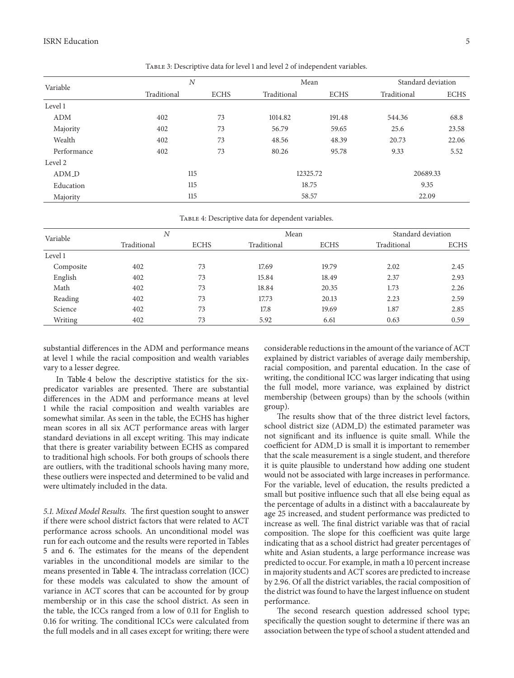| Variable          | N           |             | Mean        |             | Standard deviation |             |
|-------------------|-------------|-------------|-------------|-------------|--------------------|-------------|
|                   | Traditional | <b>ECHS</b> | Traditional | <b>ECHS</b> | Traditional        | <b>ECHS</b> |
| Level 1           |             |             |             |             |                    |             |
| <b>ADM</b>        | 402         | 73          | 1014.82     | 191.48      | 544.36             | 68.8        |
| Majority          | 402         | 73          | 56.79       | 59.65       | 25.6               | 23.58       |
| Wealth            | 402         | 73          | 48.56       | 48.39       | 20.73              | 22.06       |
| Performance       | 402         | 73          | 80.26       | 95.78       | 9.33               | 5.52        |
| Level 2           |             |             |             |             |                    |             |
| ADM <sub>-D</sub> | 115         |             | 12325.72    |             | 20689.33           |             |
| Education         | 115         |             | 18.75       |             | 9.35               |             |
| Majority          | 115         |             | 58.57       |             | 22.09              |             |

Table 3: Descriptive data for level 1 and level 2 of independent variables.

TABLE 4: Descriptive data for dependent variables.

| Variable  | N           |             | Mean        |             | Standard deviation |             |
|-----------|-------------|-------------|-------------|-------------|--------------------|-------------|
|           | Traditional | <b>ECHS</b> | Traditional | <b>ECHS</b> | Traditional        | <b>ECHS</b> |
| Level 1   |             |             |             |             |                    |             |
| Composite | 402         | 73          | 17.69       | 19.79       | 2.02               | 2.45        |
| English   | 402         | 73          | 15.84       | 18.49       | 2.37               | 2.93        |
| Math      | 402         | 73          | 18.84       | 20.35       | 1.73               | 2.26        |
| Reading   | 402         | 73          | 17.73       | 20.13       | 2.23               | 2.59        |
| Science   | 402         | 73          | 17.8        | 19.69       | 1.87               | 2.85        |
| Writing   | 402         | 73          | 5.92        | 6.61        | 0.63               | 0.59        |

substantial differences in the ADM and performance means at level 1 while the racial composition and wealth variables vary to a lesser degree.

In Table 4 below the descriptive statistics for the sixpredicator variables are presented. There are substantial differences in the ADM and performance means at level 1 while the racial composition and wealth variables are somewhat similar. As seen in the table, the ECHS has higher mean scores in all six ACT performance areas with larger standard deviations in all except writing. This may indicate that there is greater variability between ECHS as compared to traditional high schools. For both groups of schools there are outliers, with the traditional schools having many more, these outliers were inspected and determined to be valid and were ultimately included in the data.

*5.1. Mixed Model Results.* The first question sought to answer if there were school district factors that were related to ACT performance across schools. An unconditional model was run for each outcome and the results were reported in Tables 5 and 6. The estimates for the means of the dependent variables in the unconditional models are similar to the means presented in Table 4. The intraclass correlation (ICC) for these models was calculated to show the amount of variance in ACT scores that can be accounted for by group membership or in this case the school district. As seen in the table, the ICCs ranged from a low of 0.11 for English to 0.16 for writing. The conditional ICCs were calculated from the full models and in all cases except for writing; there were considerable reductions in the amount of the variance of ACT explained by district variables of average daily membership, racial composition, and parental education. In the case of writing, the conditional ICC was larger indicating that using the full model, more variance, was explained by district membership (between groups) than by the schools (within group).

The results show that of the three district level factors, school district size (ADM\_D) the estimated parameter was not significant and its influence is quite small. While the coefficient for ADM D is small it is important to remember that the scale measurement is a single student, and therefore it is quite plausible to understand how adding one student would not be associated with large increases in performance. For the variable, level of education, the results predicted a small but positive influence such that all else being equal as the percentage of adults in a distinct with a baccalaureate by age 25 increased, and student performance was predicted to increase as well. The final district variable was that of racial composition. The slope for this coefficient was quite large indicating that as a school district had greater percentages of white and Asian students, a large performance increase was predicted to occur. For example, in math a 10 percent increase in majority students and ACT scores are predicted to increase by 2.96. Of all the district variables, the racial composition of the district was found to have the largest influence on student performance.

The second research question addressed school type; specifically the question sought to determine if there was an association between the type of school a student attended and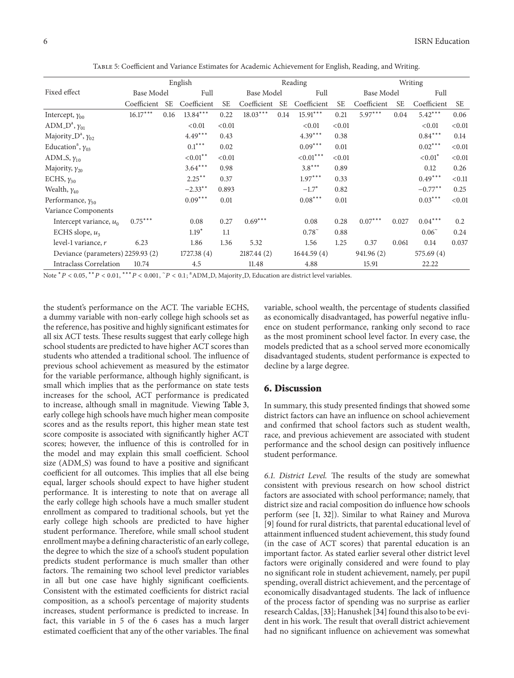|                                        |             |      | English                          |           |             |           | Reading                  |           |             |           | Writing               |           |
|----------------------------------------|-------------|------|----------------------------------|-----------|-------------|-----------|--------------------------|-----------|-------------|-----------|-----------------------|-----------|
| Fixed effect                           | Base Model  |      | Full                             |           | Base Model  |           | Full                     |           | Base Model  |           | Full                  |           |
|                                        | Coefficient | SE.  | Coefficient                      | <b>SE</b> | Coefficient | <b>SE</b> | Coefficient              | <b>SE</b> | Coefficient | <b>SE</b> | Coefficient           | <b>SE</b> |
| Intercept, $\gamma_{00}$               | $16.17***$  | 0.16 | $13.84***$                       | 0.22      | $18.03***$  | 0.14      | $15.91***$               | 0.21      | $5.97***$   | 0.04      | $5.42***$             | 0.06      |
| ADM_D <sup>a</sup> , $\gamma_{01}$     |             |      | < 0.01                           | < 0.01    |             |           | < 0.01                   | < 0.01    |             |           | < 0.01                | < 0.01    |
| Majority_ $D^a$ , $\gamma_{02}$        |             |      | $4.49***$                        | 0.43      |             |           | $4.39***$                | 0.38      |             |           | $0.84***$             | 0.14      |
| Education <sup>a</sup> , $\gamma_{03}$ |             |      | $0.1***$                         | 0.02      |             |           | $0.09***$                | 0.01      |             |           | $0.02***$             | < 0.01    |
| ADM_S, $\gamma_{10}$                   |             |      | $<\hspace{-0.1cm}0.01^{\ast\,*}$ | < 0.01    |             |           | ${<}0.01^{\ast\ast\ast}$ | < 0.01    |             |           | $< 0.01$ <sup>*</sup> | < 0.01    |
| Majority, $\gamma_{20}$                |             |      | $3.64***$                        | 0.98      |             |           | $3.8***$                 | 0.89      |             |           | 0.12                  | 0.26      |
| ECHS, $\gamma_{30}$                    |             |      | $2.25***$                        | 0.37      |             |           | $1.97***$                | 0.33      |             |           | $0.49***$             | < 0.11    |
| Wealth, $\gamma_{40}$                  |             |      | $-2.33***$                       | 0.893     |             |           | $-1.7*$                  | 0.82      |             |           | $-0.77***$            | 0.25      |
| Performance, $\gamma_{50}$             |             |      | $0.09***$                        | 0.01      |             |           | $0.08***$                | 0.01      |             |           | $0.03***$             | < 0.01    |
| Variance Components                    |             |      |                                  |           |             |           |                          |           |             |           |                       |           |
| Intercept variance, $u_0$              | $0.75***$   |      | 0.08                             | 0.27      | $0.69***$   |           | 0.08                     | 0.28      | $0.07***$   | 0.027     | $0.04***$             | 0.2       |
| ECHS slope, $u_3$                      |             |      | $1.19*$                          | 1.1       |             |           | $0.78^{\circ}$           | 0.88      |             |           | $0.06^{\circ}$        | 0.24      |
| level-1 variance, $r$                  | 6.23        |      | 1.86                             | 1.36      | 5.32        |           | 1.56                     | 1.25      | 0.37        | 0.061     | 0.14                  | 0.037     |
| Deviance (parameters) 2259.93 (2)      |             |      | 1727.38(4)                       |           | 2187.44(2)  |           | 1644.59(4)               |           | 941.96 (2)  |           | 575.69(4)             |           |
| <b>Intraclass Correlation</b>          | 10.74       |      | 4.5                              |           | 11.48       |           | 4.88                     |           | 15.91       |           | 22.22                 |           |
|                                        |             |      |                                  |           |             |           |                          |           |             |           |                       |           |

Table 5: Coefficient and Variance Estimates for Academic Achievement for English, Reading, and Writing.

Note <sup>\*</sup> P < 0.05, <sup>\*\*</sup> P < 0.01, <sup>\*\*\*</sup> P < 0.001, <sup>~</sup> P < 0.1; <sup>a</sup> ADM\_D, Majority\_D, Education are district level variables.

the student's performance on the ACT. The variable ECHS, a dummy variable with non-early college high schools set as the reference, has positive and highly significant estimates for all six ACT tests. These results suggest that early college high school students are predicted to have higher ACT scores than students who attended a traditional school. The influence of previous school achievement as measured by the estimator for the variable performance, although highly significant, is small which implies that as the performance on state tests increases for the school, ACT performance is predicated to increase, although small in magnitude. Viewing Table 3, early college high schools have much higher mean composite scores and as the results report, this higher mean state test score composite is associated with significantly higher ACT scores; however, the influence of this is controlled for in the model and may explain this small coefficient. School size (ADM\_S) was found to have a positive and significant coefficient for all outcomes. This implies that all else being equal, larger schools should expect to have higher student performance. It is interesting to note that on average all the early college high schools have a much smaller student enrollment as compared to traditional schools, but yet the early college high schools are predicted to have higher student performance. Therefore, while small school student enrollment maybe a defining characteristic of an early college, the degree to which the size of a school's student population predicts student performance is much smaller than other factors. The remaining two school level predictor variables in all but one case have highly significant coefficients. Consistent with the estimated coefficients for district racial composition, as a school's percentage of majority students increases, student performance is predicted to increase. In fact, this variable in 5 of the 6 cases has a much larger estimated coefficient that any of the other variables. The final

variable, school wealth, the percentage of students classified as economically disadvantaged, has powerful negative influence on student performance, ranking only second to race as the most prominent school level factor. In every case, the models predicted that as a school served more economically disadvantaged students, student performance is expected to decline by a large degree.

#### **6. Discussion**

In summary, this study presented findings that showed some district factors can have an influence on school achievement and confirmed that school factors such as student wealth, race, and previous achievement are associated with student performance and the school design can positively influence student performance.

*6.1. District Level.* The results of the study are somewhat consistent with previous research on how school district factors are associated with school performance; namely, that district size and racial composition do influence how schools perform (see [1, 32]). Similar to what Rainey and Murova [9] found for rural districts, that parental educational level of attainment influenced student achievement, this study found (in the case of ACT scores) that parental education is an important factor. As stated earlier several other district level factors were originally considered and were found to play no significant role in student achievement, namely, per pupil spending, overall district achievement, and the percentage of economically disadvantaged students. The lack of influence of the process factor of spending was no surprise as earlier research Caldas, [33]; Hanushek [34] found this also to be evident in his work. The result that overall district achievement had no significant influence on achievement was somewhat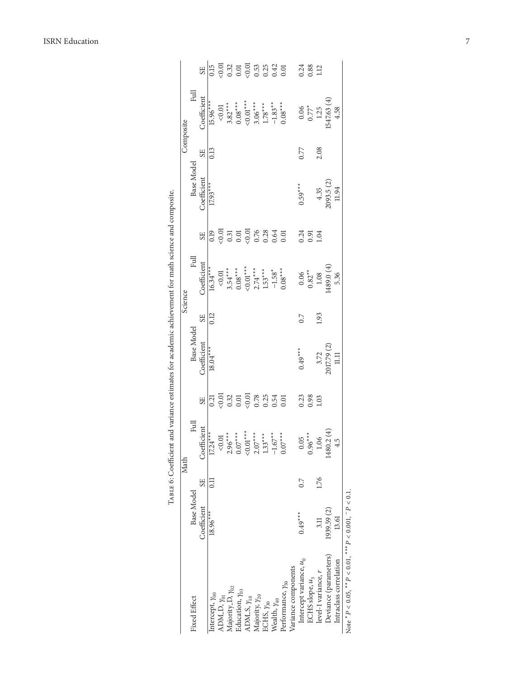|                                                                           |             |                | Math                    |                                                                                                                                        |             |           | Science                                       |                                                |             |                | Composite                  |                                                                                                        |
|---------------------------------------------------------------------------|-------------|----------------|-------------------------|----------------------------------------------------------------------------------------------------------------------------------------|-------------|-----------|-----------------------------------------------|------------------------------------------------|-------------|----------------|----------------------------|--------------------------------------------------------------------------------------------------------|
| <b>Fixed Effect</b>                                                       | Base Model  |                | Eul                     |                                                                                                                                        | Base Model  |           | Full                                          |                                                | Base Model  |                | Full                       |                                                                                                        |
|                                                                           | Coefficient | S <sub>E</sub> | Coefficient             | SE <sub></sub>                                                                                                                         | Coefficient | <b>SE</b> | Coefficient                                   | SE <sub></sub>                                 | Coefficient | SE <sub></sub> | Coefficient                | SE <sub></sub>                                                                                         |
| Intercept, $y_{00}$                                                       | $18.96***$  | $\Xi$          | $17.24***$              | 0.21                                                                                                                                   | $18.04***$  | 0.12      | $16.34***$                                    | 0.19                                           | $17.93***$  | 0.13           | $15.96***$                 | 0.15                                                                                                   |
| ADM.D, $\gamma_{01}$                                                      |             |                |                         | 0.01                                                                                                                                   |             |           | 0.01                                          | 0.01                                           |             |                | 0.01                       |                                                                                                        |
| Majority D, $\gamma_{02}$                                                 |             |                | $\frac{0.01}{2.96}$     |                                                                                                                                        |             |           | $3.54***$                                     |                                                |             |                | $3.82***$                  |                                                                                                        |
| Education, $y_{03}$                                                       |             |                | $0.07***$               |                                                                                                                                        |             |           | $0.08***$                                     |                                                |             |                | $0.08^{***}$               |                                                                                                        |
| $ADM_S, \gamma_{10}$                                                      |             |                | ${<}0.01^{***}$         |                                                                                                                                        |             |           | $< 0.01***$                                   |                                                |             |                | $< 0.01***$                |                                                                                                        |
| Majority, $\gamma_{20}$                                                   |             |                | $2.07***$               |                                                                                                                                        |             |           | $2.74***$                                     |                                                |             |                | $3.06***$                  |                                                                                                        |
| ECHS, $y_{30}$                                                            |             |                | $1.33***$               | $\begin{array}{c} 32 \\ 0.01 \\ 0.01 \\ \hline 0.01 \\ \hline 0.01 \\ \hline 0.01 \\ \hline 0.01 \\ \hline 0.01 \\ \hline \end{array}$ |             |           | $1.53***$                                     | $0.31$<br>$0.01$<br>$0.00$<br>$0.76$<br>$0.28$ |             |                | $\frac{1.78***}{-1.83***}$ | $\begin{array}{c} 0.01 \\ 0.32 \\ 0.01 \\ 0.05 \\ 0.53 \\ 0.53 \\ 0.01 \\ 0.01 \\ 0.01 \\ \end{array}$ |
| Wealth, $\gamma_{40}$                                                     |             |                | $-1.67***$              |                                                                                                                                        |             |           | $-1.58$ <sup>*</sup><br>0.08***               | $0.64$<br>$0.01$                               |             |                |                            |                                                                                                        |
| Performance, $y_{50}$                                                     |             |                |                         |                                                                                                                                        |             |           |                                               |                                                |             |                |                            |                                                                                                        |
| Variance components                                                       |             |                |                         |                                                                                                                                        |             |           |                                               |                                                |             |                |                            |                                                                                                        |
| Intercept variance, $u_0$                                                 | $0.49***$   | 0.7            |                         | 0.23                                                                                                                                   | $0.49***$   | C.0       |                                               | 0.24                                           | $0.59***$   | 0.77           |                            | 0.24                                                                                                   |
| ECHS slope, $u_3$                                                         |             |                | $0.05$<br>$0.96***$     | $0.98$<br>1.03                                                                                                                         |             |           | $\begin{array}{c} 0.06 \\ 0.82** \end{array}$ | 0.91                                           |             |                | $0.06$<br>$0.77*$          | $0.88$<br>1.12                                                                                         |
| level-1 variance, $r$                                                     | 3.11        | 1.76           | 06                      |                                                                                                                                        | 3.72        | 1.93      | $1.08$                                        | 1.04                                           | 4.35        | 2.08           | 1.25                       |                                                                                                        |
| Deviance (parameters)                                                     | 1939.59 (2) |                | $0.2(4)$<br>4.5<br>1480 |                                                                                                                                        | 2017.79 (2) |           | (489.0(4)                                     |                                                | 2093.5 (2)  |                | 547.63 (4)                 |                                                                                                        |
| Intraclass correlation                                                    | 13.61       |                |                         |                                                                                                                                        | $\Xi$       |           | 5.36                                          |                                                | 11.94       |                | 4.58                       |                                                                                                        |
| Note ${}^*P$ < 0.05, ${}^{**}P$ < 0.01, ${}^{***}P$ < 0.001, ~ $P$ < 0.1. |             |                |                         |                                                                                                                                        |             |           |                                               |                                                |             |                |                            |                                                                                                        |

ISRN Education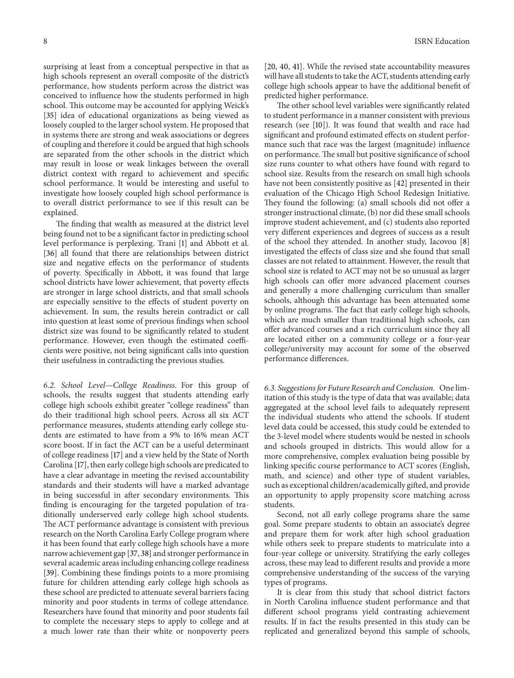surprising at least from a conceptual perspective in that as high schools represent an overall composite of the district's performance, how students perform across the district was conceived to influence how the students performed in high school. This outcome may be accounted for applying Weick's [35] idea of educational organizations as being viewed as loosely coupled to the larger school system. He proposed that in systems there are strong and weak associations or degrees of coupling and therefore it could be argued that high schools are separated from the other schools in the district which may result in loose or weak linkages between the overall district context with regard to achievement and specific school performance. It would be interesting and useful to investigate how loosely coupled high school performance is to overall district performance to see if this result can be explained.

The finding that wealth as measured at the district level being found not to be a significant factor in predicting school level performance is perplexing. Trani [1] and Abbott et al. [36] all found that there are relationships between district size and negative effects on the performance of students of poverty. Specifically in Abbott, it was found that large school districts have lower achievement, that poverty effects are stronger in large school districts, and that small schools are especially sensitive to the effects of student poverty on achievement. In sum, the results herein contradict or call into question at least some of previous findings when school district size was found to be significantly related to student performance. However, even though the estimated coefficients were positive, not being significant calls into question their usefulness in contradicting the previous studies.

*6.2. School Level—College Readiness.* For this group of schools, the results suggest that students attending early college high schools exhibit greater "college readiness" than do their traditional high school peers. Across all six ACT performance measures, students attending early college students are estimated to have from a 9% to 16% mean ACT score boost. If in fact the ACT can be a useful determinant of college readiness [17] and a view held by the State of North Carolina [17], then early college high schools are predicated to have a clear advantage in meeting the revised accountability standards and their students will have a marked advantage in being successful in after secondary environments. This finding is encouraging for the targeted population of traditionally underserved early college high school students. The ACT performance advantage is consistent with previous research on the North Carolina Early College program where it has been found that early college high schools have a more narrow achievement gap [37, 38] and stronger performance in several academic areas including enhancing college readiness [39]. Combining these findings points to a more promising future for children attending early college high schools as these school are predicted to attenuate several barriers facing minority and poor students in terms of college attendance. Researchers have found that minority and poor students fail to complete the necessary steps to apply to college and at a much lower rate than their white or nonpoverty peers

[20, 40, 41]. While the revised state accountability measures will have all students to take the ACT, students attending early college high schools appear to have the additional benefit of predicted higher performance.

The other school level variables were significantly related to student performance in a manner consistent with previous research (see [10]). It was found that wealth and race had significant and profound estimated effects on student performance such that race was the largest (magnitude) influence on performance. The small but positive significance of school size runs counter to what others have found with regard to school size. Results from the research on small high schools have not been consistently positive as [42] presented in their evaluation of the Chicago High School Redesign Initiative. They found the following: (a) small schools did not offer a stronger instructional climate, (b) nor did these small schools improve student achievement, and (c) students also reported very different experiences and degrees of success as a result of the school they attended. In another study, Iacovou [8] investigated the effects of class size and she found that small classes are not related to attainment. However, the result that school size is related to ACT may not be so unusual as larger high schools can offer more advanced placement courses and generally a more challenging curriculum than smaller schools, although this advantage has been attenuated some by online programs. The fact that early college high schools, which are much smaller than traditional high schools, can offer advanced courses and a rich curriculum since they all are located either on a community college or a four-year college/university may account for some of the observed performance differences.

*6.3. Suggestions for Future Research and Conclusion.* One limitation of this study is the type of data that was available; data aggregated at the school level fails to adequately represent the individual students who attend the schools. If student level data could be accessed, this study could be extended to the 3-level model where students would be nested in schools and schools grouped in districts. This would allow for a more comprehensive, complex evaluation being possible by linking specific course performance to ACT scores (English, math, and science) and other type of student variables, such as exceptional children/academically gifted, and provide an opportunity to apply propensity score matching across students.

Second, not all early college programs share the same goal. Some prepare students to obtain an associate's degree and prepare them for work after high school graduation while others seek to prepare students to matriculate into a four-year college or university. Stratifying the early colleges across, these may lead to different results and provide a more comprehensive understanding of the success of the varying types of programs.

It is clear from this study that school district factors in North Carolina influence student performance and that different school programs yield contrasting achievement results. If in fact the results presented in this study can be replicated and generalized beyond this sample of schools,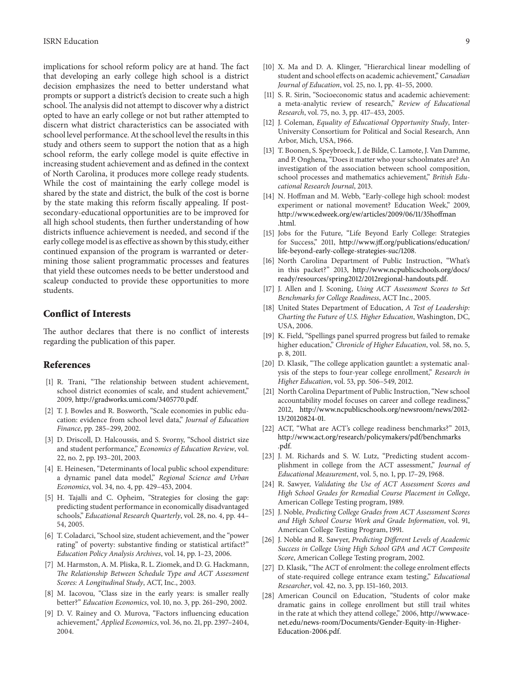implications for school reform policy are at hand. The fact that developing an early college high school is a district decision emphasizes the need to better understand what prompts or support a district's decision to create such a high school. The analysis did not attempt to discover why a district opted to have an early college or not but rather attempted to discern what district characteristics can be associated with school level performance. At the school level the results in this study and others seem to support the notion that as a high school reform, the early college model is quite effective in increasing student achievement and as defined in the context of North Carolina, it produces more college ready students. While the cost of maintaining the early college model is shared by the state and district, the bulk of the cost is borne by the state making this reform fiscally appealing. If postsecondary-educational opportunities are to be improved for all high school students, then further understanding of how districts influence achievement is needed, and second if the early college model is as effective as shown by this study, either continued expansion of the program is warranted or determining those salient programmatic processes and features that yield these outcomes needs to be better understood and scaleup conducted to provide these opportunities to more students.

### **Conflict of Interests**

The author declares that there is no conflict of interests regarding the publication of this paper.

### **References**

- [1] R. Trani, "The relationship between student achievement, school district economies of scale, and student achievement," 2009, http://gradworks.umi.com/3405770.pdf.
- [2] T. J. Bowles and R. Bosworth, "Scale economies in public education: evidence from school level data," *Journal of Education Finance*, pp. 285–299, 2002.
- [3] D. Driscoll, D. Halcoussis, and S. Svorny, "School district size and student performance," *Economics of Education Review*, vol. 22, no. 2, pp. 193–201, 2003.
- [4] E. Heinesen, "Determinants of local public school expenditure: a dynamic panel data model," *Regional Science and Urban Economics*, vol. 34, no. 4, pp. 429–453, 2004.
- [5] H. Tajalli and C. Opheim, "Strategies for closing the gap: predicting student performance in economically disadvantaged schools," *Educational Research Quarterly*, vol. 28, no. 4, pp. 44– 54, 2005.
- [6] T. Coladarci, "School size, student achievement, and the "power rating" of poverty: substantive finding or statistical artifact?" *Education Policy Analysis Archives*, vol. 14, pp. 1–23, 2006.
- [7] M. Harmston, A. M. Pliska, R. L. Ziomek, and D. G. Hackmann, *The Relationship Between Schedule Type and ACT Assessment Scores: A Longitudinal Study*, ACT, Inc., 2003.
- [8] M. Iacovou, "Class size in the early years: is smaller really better?" *Education Economics*, vol. 10, no. 3, pp. 261–290, 2002.
- [9] D. V. Rainey and O. Murova, "Factors influencing education achievement," *Applied Economics*, vol. 36, no. 21, pp. 2397–2404, 2004.
- [10] X. Ma and D. A. Klinger, "Hierarchical linear modelling of student and school effects on academic achievement," *Canadian Journal of Education*, vol. 25, no. 1, pp. 41–55, 2000.
- [11] S. R. Sirin, "Socioeconomic status and academic achievement: a meta-analytic review of research," *Review of Educational Research*, vol. 75, no. 3, pp. 417–453, 2005.
- [12] J. Coleman, *Equality of Educational Opportunity Study*, Inter-University Consortium for Political and Social Research, Ann Arbor, Mich, USA, 1966.
- [13] T. Boonen, S. Speybroeck, J. de Bilde, C. Lamote, J. Van Damme, and P. Onghena, "Does it matter who your schoolmates are? An investigation of the association between school composition, school processes and mathematics achievement," *British Educational Research Journal*, 2013.
- [14] N. Hoffman and M. Webb, "Early-college high school: modest experiment or national movement? Education Week," 2009, http://www.edweek.org/ew/articles/2009/06/11/35hoffman .html.
- [15] Jobs for the Future, "Life Beyond Early College: Strategies for Success," 2011, http://www.jff.org/publications/education/ life-beyond-early-college-strategies-suc/1208.
- [16] North Carolina Department of Public Instruction, "What's in this packet?" 2013, http://www.ncpublicschools.org/docs/ ready/resources/spring2012/2012regional-handouts.pdf.
- [17] J. Allen and J. Sconing, *Using ACT Assessment Scores to Set Benchmarks for College Readiness*, ACT Inc., 2005.
- [18] United States Department of Education, *A Test of Leadership*: *Charting the Future of U.S. Higher Education*, Washington, DC, USA, 2006.
- [19] K. Field, "Spellings panel spurred progress but failed to remake higher education," *Chronicle of Higher Education*, vol. 58, no. 5, p. 8, 2011.
- [20] D. Klasik, "The college application gauntlet: a systematic analysis of the steps to four-year college enrollment," *Research in Higher Education*, vol. 53, pp. 506–549, 2012.
- [21] North Carolina Department of Public Instruction, "New school accountability model focuses on career and college readiness," 2012, http://www.ncpublicschools.org/newsroom/news/2012- 13/20120824-01.
- [22] ACT, "What are ACT's college readiness benchmarks?" 2013, http://www.act.org/research/policymakers/pdf/benchmarks .pdf.
- [23] J. M. Richards and S. W. Lutz, "Predicting student accomplishment in college from the ACT assessment," *Journal of Educational Measurement*, vol. 5, no. 1, pp. 17–29, 1968.
- [24] R. Sawyer, *Validating the Use of ACT Assessment Scores and High School Grades for Remedial Course Placement in College*, American College Testing program, 1989.
- [25] J. Noble, *Predicting College Grades from ACT Assessment Scores and High School Course Work and Grade Information*, vol. 91, American College Testing Program, 1991.
- [26] J. Noble and R. Sawyer, *Predicting Different Levels of Academic Success in College Using High School GPA and ACT Composite Score*, American College Testing program, 2002.
- [27] D. Klasik, "The ACT of enrolment: the college enrolment effects of state-required college entrance exam testing," *Educational Researcher*, vol. 42, no. 3, pp. 151–160, 2013.
- [28] American Council on Education, "Students of color make dramatic gains in college enrollment but still trail whites in the rate at which they attend college," 2006, http://www.acenet.edu/news-room/Documents/Gender-Equity-in-Higher-Education-2006.pdf.